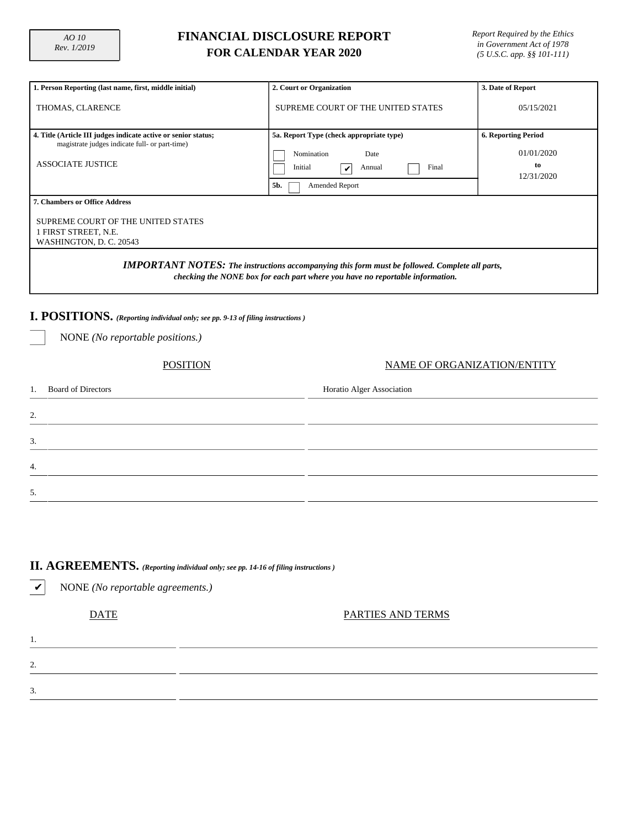## **FINANCIAL DISCLOSURE REPORT FOR CALENDAR YEAR 2020**

| 1. Person Reporting (last name, first, middle initial)                                                                                                                                 | 2. Court or Organization                                                                                                   | 3. Date of Report                                            |  |  |  |  |  |  |
|----------------------------------------------------------------------------------------------------------------------------------------------------------------------------------------|----------------------------------------------------------------------------------------------------------------------------|--------------------------------------------------------------|--|--|--|--|--|--|
| THOMAS, CLARENCE                                                                                                                                                                       | SUPREME COURT OF THE UNITED STATES                                                                                         | 05/15/2021                                                   |  |  |  |  |  |  |
| 4. Title (Article III judges indicate active or senior status;<br>magistrate judges indicate full- or part-time)<br><b>ASSOCIATE JUSTICE</b>                                           | 5a. Report Type (check appropriate type)<br>Nomination<br>Date<br>Initial<br>Final<br>Annual<br>V<br>Amended Report<br>5b. | <b>6. Reporting Period</b><br>01/01/2020<br>to<br>12/31/2020 |  |  |  |  |  |  |
| 7. Chambers or Office Address<br>SUPREME COURT OF THE UNITED STATES<br>1 FIRST STREET, N.E.<br>WASHINGTON, D. C. 20543                                                                 |                                                                                                                            |                                                              |  |  |  |  |  |  |
| <b>IMPORTANT NOTES:</b> The instructions accompanying this form must be followed. Complete all parts,<br>checking the NONE box for each part where you have no reportable information. |                                                                                                                            |                                                              |  |  |  |  |  |  |
| I. POSITIONS. (Reporting individual only; see pp. 9-13 of filing instructions)                                                                                                         |                                                                                                                            |                                                              |  |  |  |  |  |  |
| NONE (No reportable positions.)                                                                                                                                                        |                                                                                                                            |                                                              |  |  |  |  |  |  |
| <b>POSITION</b>                                                                                                                                                                        | NAME OF ORGANIZATION/ENTITY                                                                                                |                                                              |  |  |  |  |  |  |
| <b>Board of Directors</b><br>1.                                                                                                                                                        | Horatio Alger Association                                                                                                  |                                                              |  |  |  |  |  |  |
| 2.                                                                                                                                                                                     |                                                                                                                            |                                                              |  |  |  |  |  |  |
| 3.                                                                                                                                                                                     |                                                                                                                            |                                                              |  |  |  |  |  |  |
| 4.                                                                                                                                                                                     |                                                                                                                            |                                                              |  |  |  |  |  |  |
| 5.                                                                                                                                                                                     |                                                                                                                            |                                                              |  |  |  |  |  |  |

# **II. AGREEMENTS.** *(Reporting individual only; see pp. 14-16 of filing instructions )*

✔ NONE *(No reportable agreements.)* DATE PARTIES AND TERMS 1. 2. 3.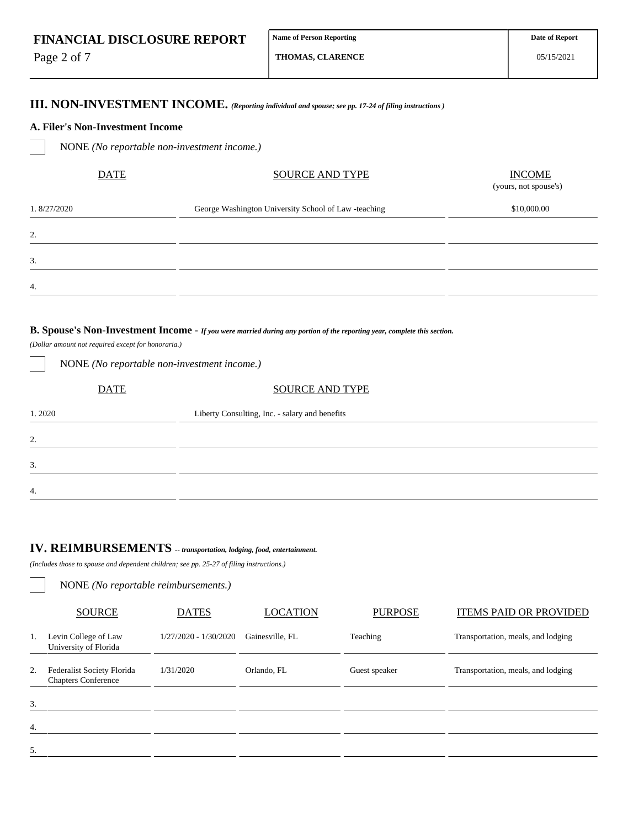Page 2 of 7

2.

3.

4.

05/15/2021

# **III. NON-INVESTMENT INCOME.** *(Reporting individual and spouse; see pp. 17-24 of filing instructions )*

#### **A. Filer's Non-Investment Income**

NONE *(No reportable non-investment income.)*

| <b>DATE</b> | <b>SOURCE AND TYPE</b>                               | <b>INCOME</b><br>(yours, not spouse's) |  |  |  |  |
|-------------|------------------------------------------------------|----------------------------------------|--|--|--|--|
| 1.8/27/2020 | George Washington University School of Law -teaching | \$10,000.00                            |  |  |  |  |
| 2.          |                                                      |                                        |  |  |  |  |
| 3.          |                                                      |                                        |  |  |  |  |
| 4.          |                                                      |                                        |  |  |  |  |
|             |                                                      |                                        |  |  |  |  |

### **B. Spouse's Non-Investment Income -** *If you were married during any portion of the reporting year, complete this section.*

*(Dollar amount not required except for honoraria.)*

| $\overline{\phantom{a}}$ |                                                |
|--------------------------|------------------------------------------------|
| <b>DATE</b>              | <b>SOURCE AND TYPE</b>                         |
| 1.2020                   | Liberty Consulting, Inc. - salary and benefits |
| 2.                       |                                                |
| 3.                       |                                                |
| $\overline{4}$ .         |                                                |

# **IV. REIMBURSEMENTS** *-- transportation, lodging, food, entertainment.*

*(Includes those to spouse and dependent children; see pp. 25-27 of filing instructions.)*

NONE *(No reportable non-investment income.)*

NONE *(No reportable reimbursements.)*

|    | <b>SOURCE</b>                                            | <b>DATES</b>          | <b>LOCATION</b> | <b>PURPOSE</b> | <b>ITEMS PAID OR PROVIDED</b>      |
|----|----------------------------------------------------------|-----------------------|-----------------|----------------|------------------------------------|
| 1. | Levin College of Law<br>University of Florida            | 1/27/2020 - 1/30/2020 | Gainesville, FL | Teaching       | Transportation, meals, and lodging |
| 2. | Federalist Society Florida<br><b>Chapters Conference</b> | 1/31/2020             | Orlando, FL     | Guest speaker  | Transportation, meals, and lodging |
| 3. |                                                          |                       |                 |                |                                    |
| 4. |                                                          |                       |                 |                |                                    |
| 5. |                                                          |                       |                 |                |                                    |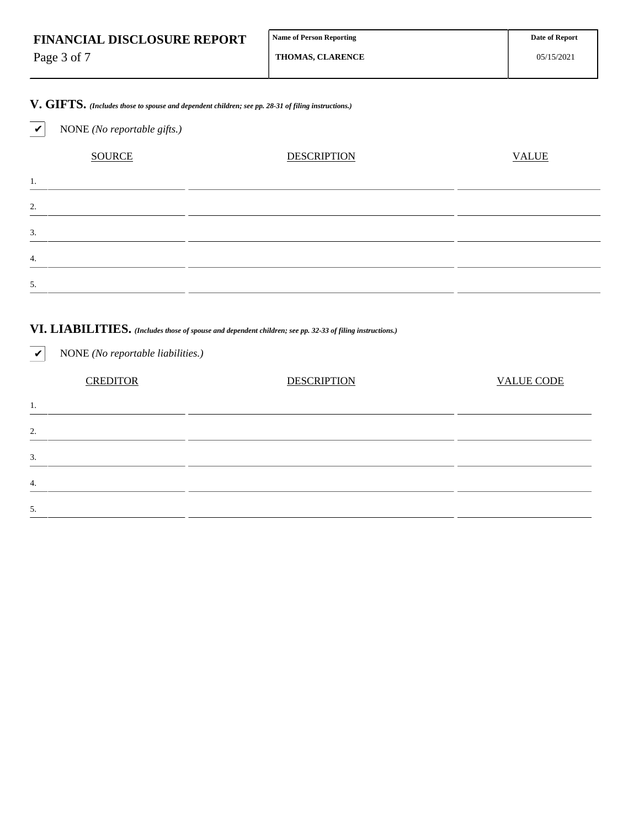|  | <b>FINANCIAL DISCLOSURE REPORT</b> |  |
|--|------------------------------------|--|
|--|------------------------------------|--|

Page 3 of 7

**THOMAS, CLARENCE**

# **V. GIFTS.** *(Includes those to spouse and dependent children; see pp. 28-31 of filing instructions.)*

# ✔ NONE *(No reportable gifts.)* SOURCE DESCRIPTION DESCRIPTION VALUE 1. 2. 3. 4. 5.

# **VI. LIABILITIES.** *(Includes those of spouse and dependent children; see pp. 32-33 of filing instructions.)*

| $\boldsymbol{\mathcal{U}}$ | NONE (No reportable liabilities.) |                    |                   |
|----------------------------|-----------------------------------|--------------------|-------------------|
|                            | <b>CREDITOR</b>                   | <b>DESCRIPTION</b> | <b>VALUE CODE</b> |
| 1.                         |                                   |                    |                   |
| 2.                         |                                   |                    |                   |
| 3.                         |                                   |                    |                   |
| $\overline{4}$ .           |                                   |                    |                   |
| 5.                         |                                   |                    |                   |
|                            |                                   |                    |                   |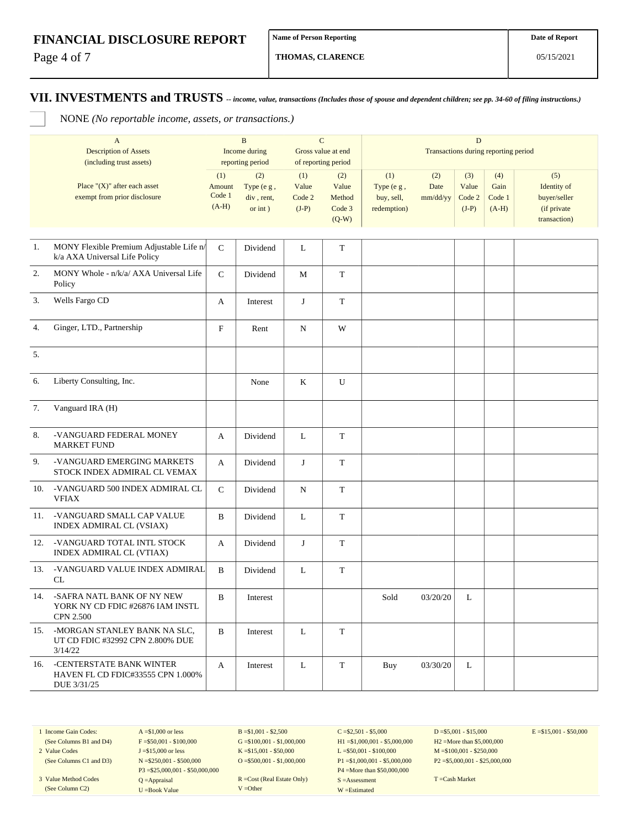Page 4 of 7

**THOMAS, CLARENCE**

05/15/2021

### **VII. INVESTMENTS and TRUSTS** *-- income, value, transactions (Includes those of spouse and dependent children; see pp. 34-60 of filing instructions.)*

NONE *(No reportable income, assets, or transactions.)*

|     | $\mathbf{A}$<br><b>Description of Assets</b><br>(including trust assets)           |                                    | $\mathbf B$<br><b>Income during</b><br>reporting period | $\mathbf C$<br>Gross value at end<br>of reporting period |                                             | $\mathbf D$<br>Transactions during reporting period |                         |                                   |                                  |                                                                   |
|-----|------------------------------------------------------------------------------------|------------------------------------|---------------------------------------------------------|----------------------------------------------------------|---------------------------------------------|-----------------------------------------------------|-------------------------|-----------------------------------|----------------------------------|-------------------------------------------------------------------|
|     | Place " $(X)$ " after each asset<br>exempt from prior disclosure                   | (1)<br>Amount<br>Code 1<br>$(A-H)$ | (2)<br>Type (e g,<br>div, rent,<br>or $int$ )           | (1)<br>Value<br>Code 2<br>$(J-P)$                        | (2)<br>Value<br>Method<br>Code 3<br>$(Q-W)$ | (1)<br>Type (e g,<br>buy, sell,<br>redemption)      | (2)<br>Date<br>mm/dd/yy | (3)<br>Value<br>Code 2<br>$(J-P)$ | (4)<br>Gain<br>Code 1<br>$(A-H)$ | (5)<br>Identity of<br>buyer/seller<br>(if private<br>transaction) |
| 1.  | MONY Flexible Premium Adjustable Life n/<br>k/a AXA Universal Life Policy          | ${\bf C}$                          | Dividend                                                | L                                                        | T                                           |                                                     |                         |                                   |                                  |                                                                   |
| 2.  | MONY Whole - n/k/a/ AXA Universal Life<br>Policy                                   | ${\bf C}$                          | Dividend                                                | M                                                        | T                                           |                                                     |                         |                                   |                                  |                                                                   |
| 3.  | Wells Fargo CD                                                                     | A                                  | Interest                                                | J                                                        | T                                           |                                                     |                         |                                   |                                  |                                                                   |
| 4.  | Ginger, LTD., Partnership                                                          | $\mathbf F$                        | Rent                                                    | N                                                        | W                                           |                                                     |                         |                                   |                                  |                                                                   |
| 5.  |                                                                                    |                                    |                                                         |                                                          |                                             |                                                     |                         |                                   |                                  |                                                                   |
| 6.  | Liberty Consulting, Inc.                                                           |                                    | None                                                    | K                                                        | U                                           |                                                     |                         |                                   |                                  |                                                                   |
| 7.  | Vanguard IRA (H)                                                                   |                                    |                                                         |                                                          |                                             |                                                     |                         |                                   |                                  |                                                                   |
| 8.  | -VANGUARD FEDERAL MONEY<br><b>MARKET FUND</b>                                      | A                                  | Dividend                                                | L                                                        | ${\bf T}$                                   |                                                     |                         |                                   |                                  |                                                                   |
| 9.  | -VANGUARD EMERGING MARKETS<br>STOCK INDEX ADMIRAL CL VEMAX                         | A                                  | Dividend                                                | J                                                        | $\mathbf T$                                 |                                                     |                         |                                   |                                  |                                                                   |
| 10. | -VANGUARD 500 INDEX ADMIRAL CL<br><b>VFIAX</b>                                     | ${\bf C}$                          | Dividend                                                | N                                                        | $\mathbf T$                                 |                                                     |                         |                                   |                                  |                                                                   |
| 11. | -VANGUARD SMALL CAP VALUE<br>INDEX ADMIRAL CL (VSIAX)                              | B                                  | Dividend                                                | L                                                        | T                                           |                                                     |                         |                                   |                                  |                                                                   |
| 12. | -VANGUARD TOTAL INTL STOCK<br>INDEX ADMIRAL CL (VTIAX)                             | A                                  | Dividend                                                | J                                                        | T                                           |                                                     |                         |                                   |                                  |                                                                   |
| 13. | -VANGUARD VALUE INDEX ADMIRAL<br><b>CL</b>                                         | $\, {\bf B}$                       | Dividend                                                | L                                                        | $\mathbf T$                                 |                                                     |                         |                                   |                                  |                                                                   |
| 14. | -SAFRA NATL BANK OF NY NEW<br>YORK NY CD FDIC #26876 IAM INSTL<br><b>CPN 2.500</b> | B                                  | Interest                                                |                                                          |                                             | Sold                                                | 03/20/20                | L                                 |                                  |                                                                   |
| 15. | -MORGAN STANLEY BANK NA SLC,<br>UT CD FDIC #32992 CPN 2.800% DUE<br>3/14/22        | B                                  | Interest                                                | L                                                        | T                                           |                                                     |                         |                                   |                                  |                                                                   |
| 16. | -CENTERSTATE BANK WINTER<br>HAVEN FL CD FDIC#33555 CPN 1.000%<br>DUE 3/31/25       | A                                  | Interest                                                | $\mathbf{L}$                                             | $\mathbf T$                                 | Buy                                                 | 03/30/20                | L                                 |                                  |                                                                   |

1 Income Gain Codes: (See Columns B1 and D4) 2 Value Codes (See Columns C1 and D3)

3 Value Method Codes (See Column C2)

 $A = $1,000$  or less  $F = $50,001 - $100,000$ J =\$15,000 or less N =\$250,001 - \$500,000 P3 =\$25,000,001 - \$50,000,000 Q =Appraisal U =Book Value

 $B = $1,001 - $2,500$  $G = $100,001 - $1,000,000$ K =\$15,001 - \$50,000  $O = $500,001 - $1,000,000$ 

R =Cost (Real Estate Only) V =Other

 $C = $2,501 - $5,000$ H1 =\$1,000,001 - \$5,000,000 L =\$50,001 - \$100,000 P1 =\$1,000,001 - \$5,000,000 P4 =More than \$50,000,000 S =Assessment W =Estimated

 $D = $5,001 - $15,000$ H2 =More than \$5,000,000 M =\$100,001 - \$250,000 P2 =\$5,000,001 - \$25,000,000  $E = $15,001 - $50,000$ 

T =Cash Market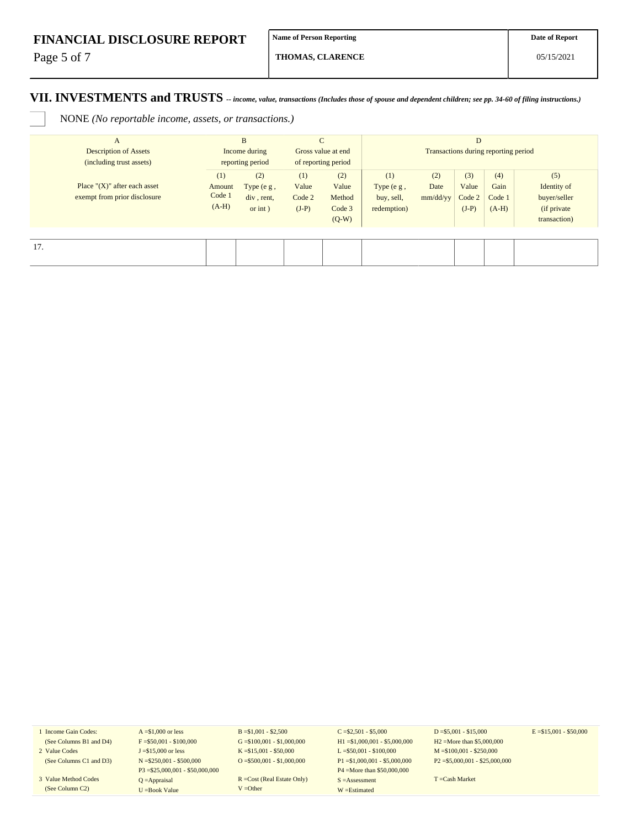Page 5 of 7

**THOMAS, CLARENCE**

### **VII. INVESTMENTS and TRUSTS** *-- income, value, transactions (Includes those of spouse and dependent children; see pp. 34-60 of filing instructions.)*

NONE *(No reportable income, assets, or transactions.)*

| $\mathbf{A}$<br><b>Description of Assets</b><br>(including trust assets) | B<br>Income during<br>reporting period |                                            | $\mathsf{C}$<br>Gross value at end<br>of reporting period |                                             | D<br>Transactions during reporting period        |                         |                                   |                                  |                                                                    |
|--------------------------------------------------------------------------|----------------------------------------|--------------------------------------------|-----------------------------------------------------------|---------------------------------------------|--------------------------------------------------|-------------------------|-----------------------------------|----------------------------------|--------------------------------------------------------------------|
| Place " $(X)$ " after each asset<br>exempt from prior disclosure         | (1)<br>Amount<br>Code 1<br>$(A-H)$     | (2)<br>Type (e g,<br>div, rent,<br>or int) | (1)<br>Value<br>Code 2<br>$(J-P)$                         | (2)<br>Value<br>Method<br>Code 3<br>$(Q-W)$ | (1)<br>Type $(e g,$<br>buy, sell,<br>redemption) | (2)<br>Date<br>mm/dd/yy | (3)<br>Value<br>Code 2<br>$(J-P)$ | (4)<br>Gain<br>Code 1<br>$(A-H)$ | (5)<br>Identity of<br>buyer/seller<br>(if private)<br>transaction) |
| 17.                                                                      |                                        |                                            |                                                           |                                             |                                                  |                         |                                   |                                  |                                                                    |

1 Income Gain Codes: (See Columns B1 and D4)

- 2 Value Codes (See Columns C1 and D3)
- 3 Value Method Codes

(See Column C2)

 $A = $1,000$  or less  $F = $50,001 - $100,000$ J =\$15,000 or less N =\$250,001 - \$500,000 P3 =\$25,000,001 - \$50,000,000 Q =Appraisal U =Book Value

 $B = $1,001 - $2,500$  $G = $100,001 - $1,000,000$ K =\$15,001 - \$50,000 O =  $$500,001 - $1,000,000$ 

R =Cost (Real Estate Only) V =Other

 $C = $2,501 - $5,000$ H1 =\$1,000,001 - \$5,000,000 L =\$50,001 - \$100,000 P1 =\$1,000,001 - \$5,000,000 P4 =More than \$50,000,000 S =Assessment W =Estimated

 $D = $5,001 - $15,000$ H2 =More than \$5,000,000 M =\$100,001 - \$250,000 P2 =\$5,000,001 - \$25,000,000  $E = $15,001 - $50,000$ 

T =Cash Market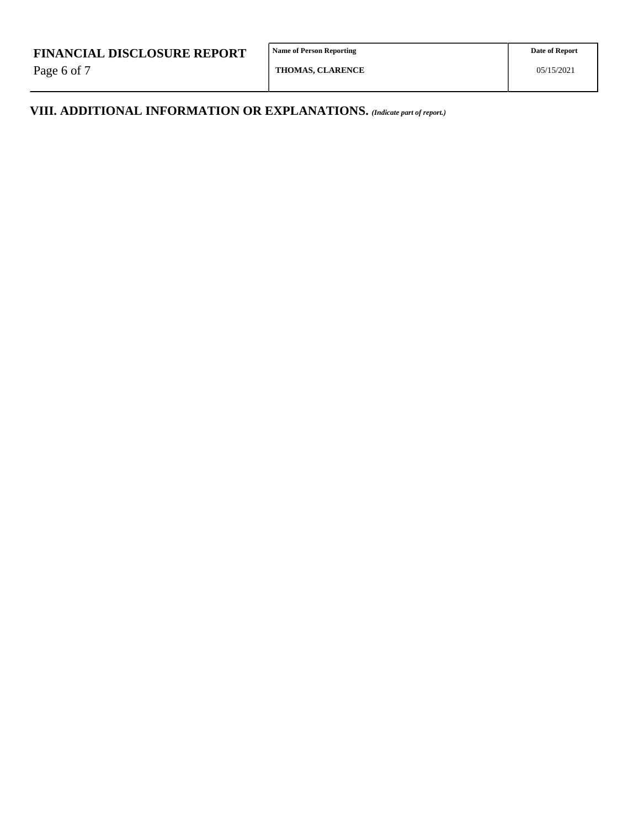Page 6 of 7

**Name of Person Reporting**

**VIII. ADDITIONAL INFORMATION OR EXPLANATIONS.** *(Indicate part of report.)*